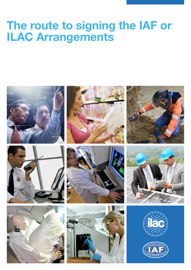# **The route to signing the IAF or ILAC Arrangements**



















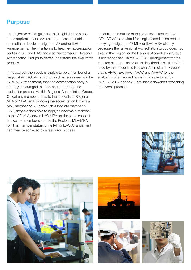### **Purpose**

The objective of this guideline is to highlight the steps in the application and evaluation process to enable accreditation bodies to sign the IAF and/or ILAC Arrangements. The intention is to help new accreditation bodies in IAF and ILAC and also newcomers in Regional Accreditation Groups to better understand the evaluation process.

If the accreditation body is eligible to be a member of a Regional Accreditation Group which is recognized via the IAF/ILAC Arrangement, then the accreditation body is strongly encouraged to apply and go through the evaluation process via this Regional Accreditation Group. On gaining member status to the recognised Regional MLA or MRA, and providing the accreditation body is a MoU member of IAF and/or an Associate member of ILAC, they are then able to apply to become a member to the IAF MLA and/or ILAC MRA for the same scope it has gained member status to the Regional MLA/MRA for. This member status to the IAF or ILAC Arrangement can then be achieved by a fast track process.

In addition, an outline of the process as required by IAF/ILAC A2 is provided for single accreditation bodies applying to sign the IAF MLA or ILAC MRA directly, because either a Regional Accreditation Group does not exist in that region, or the Regional Accreditation Group is not recognised via the IAF/ILAC Arrangement for the required scopes. The process described is similar to that used by the recognised Regional Accreditation Groups, that is APAC, EA, IAAC, ARAC and AFRAC for the evaluation of an accreditation body as required by IAF/ILAC A1. Appendix 1 provides a flowchart describing the overall process.









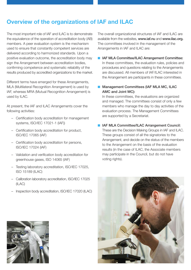## **Overview of the organizations of IAF and ILAC**

The most important role of IAF and ILAC is to demonstrate the equivalence of the operation of accreditation body (AB) members. A peer evaluation system is the mechanism used to ensure that constantly competent services are delivered according to harmonized standards. Upon a positive evaluation outcome, the accreditation body may sign the Arrangement between accreditation bodies, confirming competence and systematic reliability of the results produced by accredited organizations to the market.

Different terms have emerged for these Arrangements, MLA (Multilateral Recognition Arrangement) is used by IAF, whereas MRA (Mutual Recognition Arrangement) is used by ILAC.

At present, the IAF and ILAC Arrangements cover the following activities:

- Certification body accreditation for management systems, ISO/IEC 17021-1 (IAF))
- Certification body accreditation for product, ISO/IEC 17065 (IAF)
- Certification body accreditation for persons, ISO/IEC 17024 (IAF)
- Validation and verification body accreditation for greenhouse gases, ISO 14065 (IAF)
- Testing laboratory accreditation, ISO/IEC 17025, ISO 15189 (ILAC)
- Calibration laboratory accreditation, ISO/IEC 17025 (ILAC)
- Inspection body accreditation, ISO/IEC 17020 (ILAC)



The overall organizational structures of IAF and ILAC are available from the websites, www.iaf.nu and www.ilac.org. The committees involved in the management of the Arrangements in IAF and ILAC are:

- **n** IAF MLA Committee/ILAC Arrangement Committee: In these committees, the evaluation rules, policies and procedures and questions relating to the Arrangements are discussed. All members of IAF/ILAC interested in the Arrangement are participants in these committees.
- Management Committees (IAF MLA MC, ILAC AMC and Joint MC):

 In these committees, the evaluations are organized and managed. The committees consist of only a few members who manage the day to day activities of the evaluation process. The Management Committees are supported by a Secretariat.

■ IAF MLA Committee/ILAC Arrangement Council:

 These are the Decision Making Groups in IAF and ILAC. These groups consist of all the signatories to the Arrangement, and decide on the status of the members to the Arrangement on the basis of the evaluation results (in the case of ILAC, the Associate members may participate in the Council, but do not have voting rights).

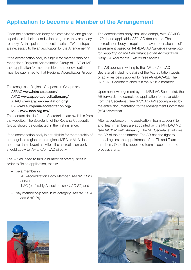### **Application to become a Member of the Arrangement**

Once the accreditation body has established and gained experience in their accreditation programs, they are ready to apply. At this point, the question arises "What steps are necessary to file an application for the Arrangement?"

If the accreditation body is eligible for membership of a recognised Regional Accreditation Group of ILAC or IAF, then application for membership and peer evaluation must be submitted to that Regional Accreditation Group.

The recognised Regional Cooperation Groups are:

 AFRAC www.intra-afrac.com/ APAC www.apac-accreditation.org/ ARAC www.arac-accreditation.org/ EA www.european-accreditation.org/ IAAC www.iaac.org.mx/

The contact details for the Secretariats are available from the websites. The Secretariat of the Regional Cooperation Group should be contacted in the first instance.

If the accreditation body is not eligible for membership of a recognised region or the regional MRA or MLA does not cover the relevant activities, the accreditation body should apply to IAF and/or ILAC directly.

The AB will need to fulfill a number of prerequisites in order to file an application, that is:

- be a member in IAF (Accreditation Body Member; *see IAF PL2* ) and/or ILAC (preferably Associate; *see ILAC-R2*) and
- pay membership fees in its category *(see IAF PL 4 and ILAC P4).*



The accreditation body shall also comply with ISO/IEC 17011 and applicable IAF/ILAC documents. The accreditation body is required to have undertaken a selfassessment based on IAF/ILAC A3 *Narrative Framework for Reporting on the Performance of an Accreditation Body – A Tool for the Evaluation Process.*

The AB applies in writing to the IAF and/or ILAC Secretariat including details of the Accreditation type(s) or activities being applied for *(see IAF/ILAC-A2)*. The IAF/ILAC Secretariat checks if the AB is a member.

Upon acknowledgement by the IAF/ILAC Secretariat, the AB forwards the completed application form available from the Secretariat *(see IAF/ILAC-A2)* accompanied by the entire documentation to the Management Committee (MC) Secretariat.

After acceptance of the application, Team Leader (TL) and Team members are appointed by the IAF/ILAC MC *(see IAF/ILAC-A2, Annex 3).* The MC Secretariat informs the AB of the appointment. The AB has the right to appeal against the appointment of the TL and Team members. Once the appointed team is accepted, the process starts.

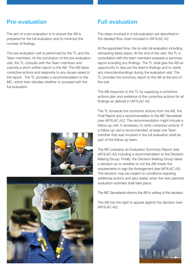### **Pre-evaluation Full evaluation**

The aim of a pre-evaluation is to ensure the AB is prepared for the full evaluation and to minimize the number of findings.

The pre-evaluation visit is performed by the TL and the Team members. At the conclusion of the pre-evaluation visit, the TL consults with the Team members and submits a short written report to the AB. The AB takes corrective actions and responds to any issues raised in the report. The TL provides a recommendation to the MC, which then decides whether to proceed with the full evaluation.





The steps involved in a full evaluation are described in the detailed flow-chart included in IAF/ILAC A2.

At the appointed time, the on-site full evaluation including witnessing takes place. At the end of the visit, the TL in consultation with the team members prepares a summary report including any findings. The TL shall give the AB an opportunity to discuss the team's findings and to clarify any misunderstandings during the evaluation visit. The TL provides the summary report to the AB at the end of the visit.

The AB responds to the TL by supplying a corrective actions plan and evidence of the corrective actions for all findings as defined in IAF/ILAC-A2.

The TL forwards the corrective actions from the AB, the Final Report and a recommendation to the MC Secretariat *(see IAF/ILAC-A2).* The recommendation might include a follow-up visit, if necessary, to verify corrective actions. If a follow-up visit is recommended, at least one Team member that was involved in the full evaluation shall be part of the follow-up team.

The MC prepares an Evaluation Summary Report *(see IAF/ILAC-A2)* including a recommendation to the Decision Making Group. Finally, the Decision Making Group takes a decision as to whether or not the AB meets the requirements to sign the Arrangement *(see IAF/ILAC-A2).* The decision may be subject to conditions requiring additional actions and also states when the next planned evaluation activities shall take place.

The MC Secretariat informs the AB in writing of the decision.

The AB has the right to appeal against the decision *(see IAF/ILAC-A2).*

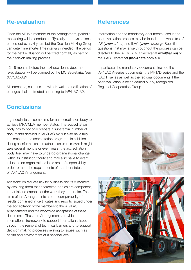### **Re-evaluation References**

Once the AB is a member of the Arrangement, periodic monitoring will be conducted. Typically, a re-evaluation is carried out every 4 years but the Decision Making Group can determine shorter time intervals if needed. The period for the next evaluation will be fixed normally as part of the decision making process.

12-18 months before the next decision is due, the re-evaluation will be planned by the MC Secretariat *(see IAF/ILAC-A2).*

Maintenance, suspension, withdrawal and notification of changes shall be treated according to IAF/ILAC-A2.

### **Conclusions**

It generally takes some time for an accreditation body to achieve MRA/MLA member status. The accreditation body has to not only prepare a substantial number of documents detailed in IAF/ILAC A2 but also have fully implemented the accreditation programs. In addition, during an information and adaptation process which might take several months or even years, the accreditation body itself may have to undergo organizational change within its institution/facility and may also have to exert influence on organizations in its area of responsibility in order to meet the requirements of member status to the of IAF/ILAC Arrangements.

Accreditation reduces risk for business and its customers by assuring them that accredited bodies are competent, impartial and capable of the work they undertake. The aims of the Arrangements are the comparability of results contained in certificates and reports issued under the accreditation of the members to the IAF/ILAC Arrangements and the worldwide acceptance of these documents. Thus, the Arrangements provide an international framework to support international trade through the removal of technical barriers and to support decision making processes relating to issues such as health and environment at a national level.

Information and the mandatory documents used in the peer evaluation process may be found at the websites of IAF (www.iaf.nu) and ILAC (www.ilac.org). Specific questions that may arise throughout the process can be directed to the IAF MLA MC Secretariat (mla@iaf.nu) or the ILAC Secretariat (ilac@nata.com.au).

In particular the mandatory documents include the IAF/ILAC A-series documents, the IAF MD series and the ILAC P series as well as the regional documents if the peer evaluation is being carried out by recognized Regional Cooperation Group.

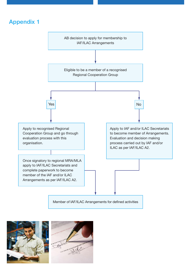# **Appendix 1**